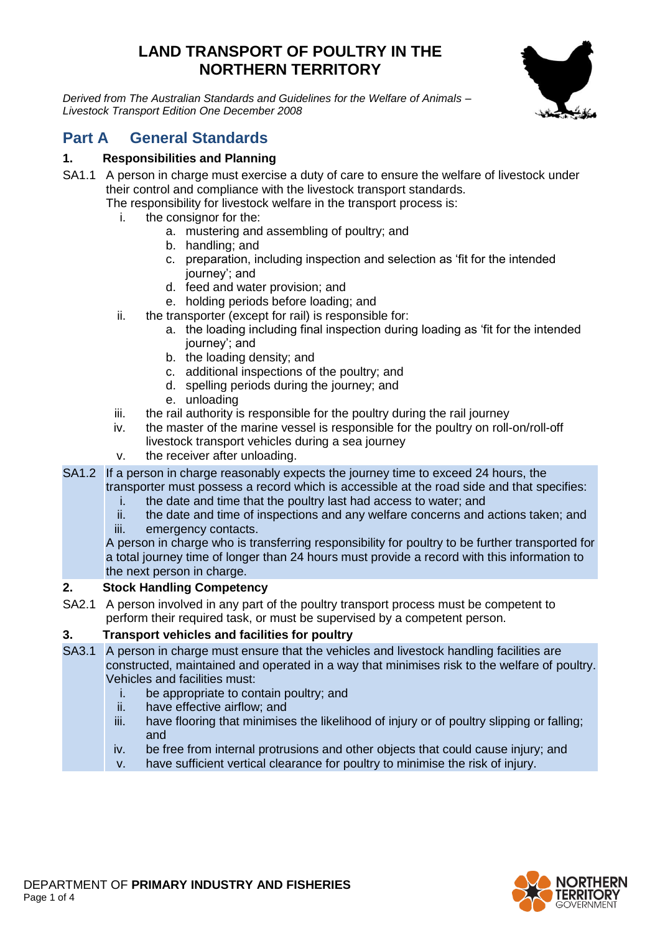# **LAND TRANSPORT OF POULTRY IN THE NORTHERN TERRITORY**

*Derived from The Australian Standards and Guidelines for the Welfare of Animals – Livestock Transport Edition One December 2008*



# **Part A General Standards**

# **1. Responsibilities and Planning**

SA1.1 A person in charge must exercise a duty of care to ensure the welfare of livestock under their control and compliance with the livestock transport standards.

The responsibility for livestock welfare in the transport process is:

- i. the consignor for the:
	- a. mustering and assembling of poultry; and
	- b. handling; and
	- c. preparation, including inspection and selection as 'fit for the intended journey'; and
	- d. feed and water provision; and
	- e. holding periods before loading; and
- ii. the transporter (except for rail) is responsible for:
	- a. the loading including final inspection during loading as 'fit for the intended journey'; and
	- b. the loading density; and
	- c. additional inspections of the poultry; and
	- d. spelling periods during the journey; and
	- e. unloading
- iii. the rail authority is responsible for the poultry during the rail journey
- iv. the master of the marine vessel is responsible for the poultry on roll-on/roll-off livestock transport vehicles during a sea journey
- v. the receiver after unloading.
- SA1.2 If a person in charge reasonably expects the journey time to exceed 24 hours, the transporter must possess a record which is accessible at the road side and that specifies:
	- i. the date and time that the poultry last had access to water; and
	- ii. the date and time of inspections and any welfare concerns and actions taken; and
	- iii. emergency contacts.

A person in charge who is transferring responsibility for poultry to be further transported for a total journey time of longer than 24 hours must provide a record with this information to the next person in charge.

#### **2. Stock Handling Competency**

SA2.1 A person involved in any part of the poultry transport process must be competent to perform their required task, or must be supervised by a competent person.

## **3. Transport vehicles and facilities for poultry**

- SA3.1 A person in charge must ensure that the vehicles and livestock handling facilities are constructed, maintained and operated in a way that minimises risk to the welfare of poultry. Vehicles and facilities must:
	- i. be appropriate to contain poultry; and
	- ii. have effective airflow; and
	- iii. have flooring that minimises the likelihood of injury or of poultry slipping or falling; and
	- iv. be free from internal protrusions and other objects that could cause injury; and
	- v. have sufficient vertical clearance for poultry to minimise the risk of injury.

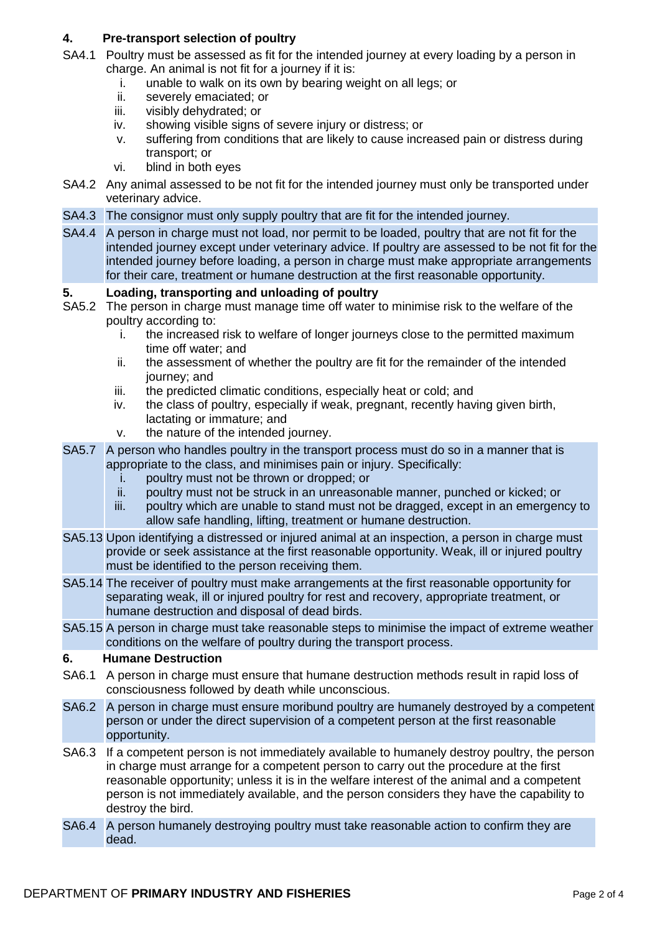## **4. Pre-transport selection of poultry**

- SA4.1 Poultry must be assessed as fit for the intended journey at every loading by a person in charge. An animal is not fit for a journey if it is:
	- i. unable to walk on its own by bearing weight on all legs; or
	- ii. severely emaciated; or
	- iii. visibly dehydrated; or
	- iv. showing visible signs of severe injury or distress; or
	- v. suffering from conditions that are likely to cause increased pain or distress during transport; or
	- vi. blind in both eyes
- SA4.2 Any animal assessed to be not fit for the intended journey must only be transported under veterinary advice.
- SA4.3 The consignor must only supply poultry that are fit for the intended journey.
- SA4.4 A person in charge must not load, nor permit to be loaded, poultry that are not fit for the intended journey except under veterinary advice. If poultry are assessed to be not fit for the intended journey before loading, a person in charge must make appropriate arrangements for their care, treatment or humane destruction at the first reasonable opportunity.

#### **5. Loading, transporting and unloading of poultry**

- SA5.2 The person in charge must manage time off water to minimise risk to the welfare of the poultry according to:
	- i. the increased risk to welfare of longer journeys close to the permitted maximum time off water; and
	- ii. the assessment of whether the poultry are fit for the remainder of the intended journey; and
	- iii. the predicted climatic conditions, especially heat or cold; and
	- iv. the class of poultry, especially if weak, pregnant, recently having given birth, lactating or immature; and
	- v. the nature of the intended journey.
- SA5.7 A person who handles poultry in the transport process must do so in a manner that is appropriate to the class, and minimises pain or injury. Specifically:
	- i. poultry must not be thrown or dropped; or
	- ii. poultry must not be struck in an unreasonable manner, punched or kicked; or
	- iii. poultry which are unable to stand must not be dragged, except in an emergency to allow safe handling, lifting, treatment or humane destruction.
- SA5.13 Upon identifying a distressed or injured animal at an inspection, a person in charge must provide or seek assistance at the first reasonable opportunity. Weak, ill or injured poultry must be identified to the person receiving them.
- SA5.14 The receiver of poultry must make arrangements at the first reasonable opportunity for separating weak, ill or injured poultry for rest and recovery, appropriate treatment, or humane destruction and disposal of dead birds.
- SA5.15 A person in charge must take reasonable steps to minimise the impact of extreme weather conditions on the welfare of poultry during the transport process.

## **6. Humane Destruction**

- SA6.1 A person in charge must ensure that humane destruction methods result in rapid loss of consciousness followed by death while unconscious.
- SA6.2 A person in charge must ensure moribund poultry are humanely destroyed by a competent person or under the direct supervision of a competent person at the first reasonable opportunity.
- SA6.3 If a competent person is not immediately available to humanely destroy poultry, the person in charge must arrange for a competent person to carry out the procedure at the first reasonable opportunity; unless it is in the welfare interest of the animal and a competent person is not immediately available, and the person considers they have the capability to destroy the bird.
- SA6.4 A person humanely destroying poultry must take reasonable action to confirm they are dead.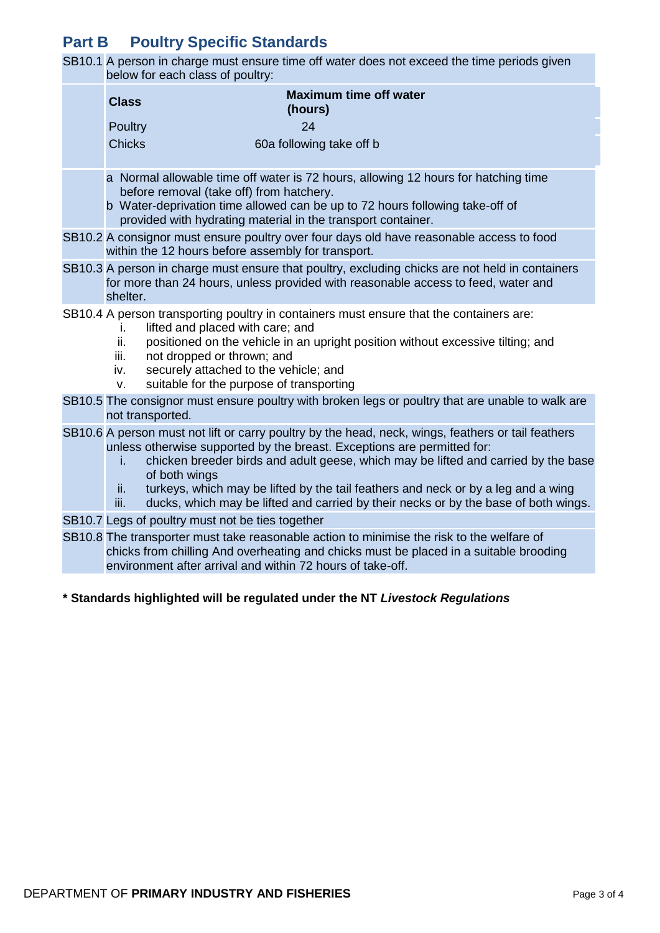# **Part B Poultry Specific Standards**

SB10.1 A person in charge must ensure time off water does not exceed the time periods given below for each class of poultry:

| <u>solow ior oddir oldos or poditry.</u>                                                                                                                                                                                                                                                                                                                                                                                                                                              |  |
|---------------------------------------------------------------------------------------------------------------------------------------------------------------------------------------------------------------------------------------------------------------------------------------------------------------------------------------------------------------------------------------------------------------------------------------------------------------------------------------|--|
| <b>Maximum time off water</b><br><b>Class</b><br>(hours)                                                                                                                                                                                                                                                                                                                                                                                                                              |  |
| 24<br>Poultry                                                                                                                                                                                                                                                                                                                                                                                                                                                                         |  |
| <b>Chicks</b><br>60a following take off b                                                                                                                                                                                                                                                                                                                                                                                                                                             |  |
| a Normal allowable time off water is 72 hours, allowing 12 hours for hatching time<br>before removal (take off) from hatchery.<br>b Water-deprivation time allowed can be up to 72 hours following take-off of<br>provided with hydrating material in the transport container.                                                                                                                                                                                                        |  |
| SB10.2 A consignor must ensure poultry over four days old have reasonable access to food<br>within the 12 hours before assembly for transport.                                                                                                                                                                                                                                                                                                                                        |  |
| SB10.3 A person in charge must ensure that poultry, excluding chicks are not held in containers<br>for more than 24 hours, unless provided with reasonable access to feed, water and<br>shelter.                                                                                                                                                                                                                                                                                      |  |
| SB10.4 A person transporting poultry in containers must ensure that the containers are:<br>lifted and placed with care; and<br>I.<br>ii.<br>positioned on the vehicle in an upright position without excessive tilting; and<br>not dropped or thrown; and<br>iii.<br>securely attached to the vehicle; and<br>iv.<br>suitable for the purpose of transporting<br>V.                                                                                                                   |  |
| SB10.5 The consignor must ensure poultry with broken legs or poultry that are unable to walk are<br>not transported.                                                                                                                                                                                                                                                                                                                                                                  |  |
| SB10.6 A person must not lift or carry poultry by the head, neck, wings, feathers or tail feathers<br>unless otherwise supported by the breast. Exceptions are permitted for:<br>chicken breeder birds and adult geese, which may be lifted and carried by the base<br>i.<br>of both wings<br>turkeys, which may be lifted by the tail feathers and neck or by a leg and a wing<br>ii.<br>ducks, which may be lifted and carried by their necks or by the base of both wings.<br>iii. |  |
| SB10.7 Legs of poultry must not be ties together                                                                                                                                                                                                                                                                                                                                                                                                                                      |  |
| SB10.8 The transporter must take reasonable action to minimise the risk to the welfare of<br>chicks from chilling And overheating and chicks must be placed in a suitable brooding<br>environment after arrival and within 72 hours of take-off.                                                                                                                                                                                                                                      |  |

#### **\* Standards highlighted will be regulated under the NT** *Livestock Regulations*